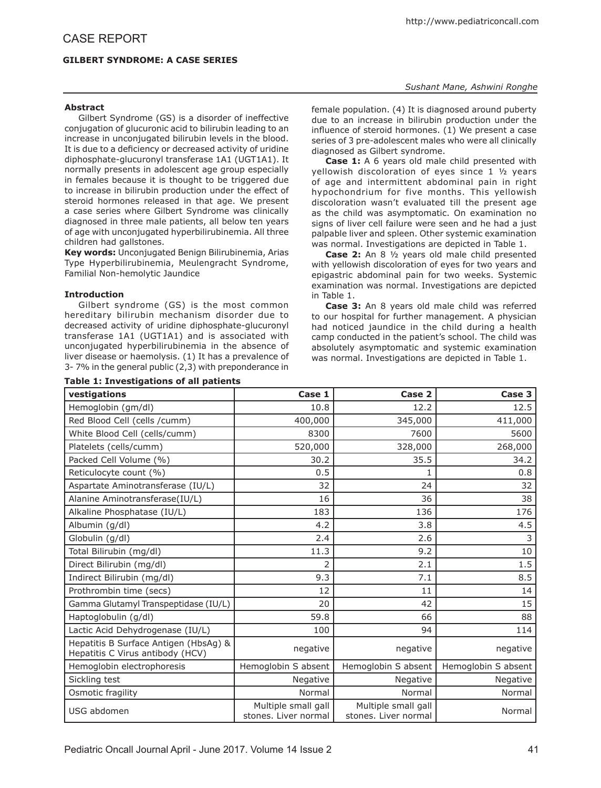# **GILBERT SYNDROME: A CASE SERIES**

## *Sushant Mane, Ashwini Ronghe*

# **Abstract**

Gilbert Syndrome (GS) is a disorder of ineffective conjugation of glucuronic acid to bilirubin leading to an increase in unconjugated bilirubin levels in the blood. It is due to a deficiency or decreased activity of uridine diphosphate-glucuronyl transferase 1A1 (UGT1A1). It normally presents in adolescent age group especially in females because it is thought to be triggered due to increase in bilirubin production under the effect of steroid hormones released in that age. We present a case series where Gilbert Syndrome was clinically diagnosed in three male patients, all below ten years of age with unconjugated hyperbilirubinemia. All three children had gallstones.

**Key words:** Unconjugated Benign Bilirubinemia, Arias Type Hyperbilirubinemia, Meulengracht Syndrome, Familial Non-hemolytic Jaundice

# **Introduction**

Gilbert syndrome (GS) is the most common hereditary bilirubin mechanism disorder due to decreased activity of uridine diphosphate-glucuronyl transferase 1A1 (UGT1A1) and is associated with unconjugated hyperbilirubinemia in the absence of liver disease or haemolysis. (1) It has a prevalence of 3- 7% in the general public (2,3) with preponderance in

# **Table 1: Investigations of all patients**

female population. (4) It is diagnosed around puberty due to an increase in bilirubin production under the influence of steroid hormones. (1) We present a case series of 3 pre-adolescent males who were all clinically diagnosed as Gilbert syndrome.

**Case 1:** A 6 years old male child presented with yellowish discoloration of eyes since 1 ½ years of age and intermittent abdominal pain in right hypochondrium for five months. This yellowish discoloration wasn't evaluated till the present age as the child was asymptomatic. On examination no signs of liver cell failure were seen and he had a just palpable liver and spleen. Other systemic examination was normal. Investigations are depicted in Table 1.

**Case 2:** An 8 ½ years old male child presented with yellowish discoloration of eyes for two years and epigastric abdominal pain for two weeks. Systemic examination was normal. Investigations are depicted in Table 1.

**Case 3:** An 8 years old male child was referred to our hospital for further management. A physician had noticed jaundice in the child during a health camp conducted in the patient's school. The child was absolutely asymptomatic and systemic examination was normal. Investigations are depicted in Table 1.

| vestigations                                                              | Case 1                                      | Case 2                                      | Case 3              |
|---------------------------------------------------------------------------|---------------------------------------------|---------------------------------------------|---------------------|
| Hemoglobin (gm/dl)                                                        | 10.8                                        | 12.2                                        | 12.5                |
| Red Blood Cell (cells /cumm)                                              | 400,000                                     | 345,000                                     | 411,000             |
| White Blood Cell (cells/cumm)                                             | 8300                                        | 7600                                        | 5600                |
| Platelets (cells/cumm)                                                    | 520,000                                     | 328,000                                     | 268,000             |
| Packed Cell Volume (%)                                                    | 30.2                                        | 35.5                                        | 34.2                |
| Reticulocyte count (%)                                                    | 0.5                                         | 1                                           | 0.8                 |
| Aspartate Aminotransferase (IU/L)                                         | 32                                          | 24                                          | 32                  |
| Alanine Aminotransferase(IU/L)                                            | 16                                          | 36                                          | 38                  |
| Alkaline Phosphatase (IU/L)                                               | 183                                         | 136                                         | 176                 |
| Albumin (g/dl)                                                            | 4.2                                         | 3.8                                         | 4.5                 |
| Globulin (g/dl)                                                           | 2.4                                         | 2.6                                         | 3                   |
| Total Bilirubin (mg/dl)                                                   | 11.3                                        | 9.2                                         | 10                  |
| Direct Bilirubin (mg/dl)                                                  |                                             | 2.1                                         | 1.5                 |
| Indirect Bilirubin (mg/dl)                                                | 9.3                                         | 7.1                                         | 8.5                 |
| Prothrombin time (secs)                                                   | 12                                          | 11                                          | 14                  |
| Gamma Glutamyl Transpeptidase (IU/L)                                      | 20                                          | 42                                          | 15                  |
| Haptoglobulin (g/dl)                                                      | 59.8                                        | 66                                          | 88                  |
| Lactic Acid Dehydrogenase (IU/L)                                          | 100                                         | 94                                          | 114                 |
| Hepatitis B Surface Antigen (HbsAg) &<br>Hepatitis C Virus antibody (HCV) | negative                                    | negative                                    | negative            |
| Hemoglobin electrophoresis                                                | Hemoglobin S absent                         | Hemoglobin S absent                         | Hemoglobin S absent |
| Sickling test                                                             | Negative                                    | Negative                                    | Negative            |
| Osmotic fragility                                                         | Normal                                      | Normal                                      | Normal              |
| USG abdomen                                                               | Multiple small gall<br>stones. Liver normal | Multiple small gall<br>stones. Liver normal | Normal              |